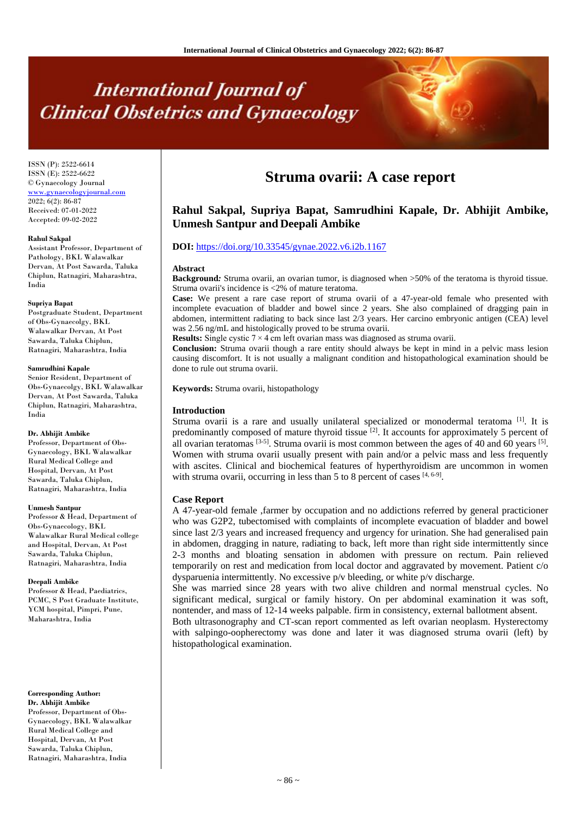# **International Journal of Clinical Obstetrics and Gynaecology**

ISSN (P): 2522-6614 ISSN (E): 2522-6622 © Gynaecology Journal <www.gynaecologyjournal.com>  $2022; 6(2): 86-87$ Received: 07-01-2022 Accepted: 09-02-2022

### **Rahul Sakpal**

Assistant Professor, Department of Pathology, BKL Walawalkar Dervan, At Post Sawarda, Taluka Chiplun, Ratnagiri, Maharashtra, India

### **Supriya Bapat**

Postgraduate Student, Department of Obs-Gynaecolgy, BKL Walawalkar Dervan, At Post Sawarda, Taluka Chiplun, Ratnagiri, Maharashtra, India

### **Samrudhini Kapale**

Senior Resident, Department of Obs-Gynaecolgy, BKL Walawalkar Dervan, At Post Sawarda, Taluka Chiplun, Ratnagiri, Maharashtra, India

### **Dr. Abhijit Ambike**

Professor, Department of Obs-Gynaecology, BKL Walawalkar Rural Medical College and Hospital, Dervan, At Post Sawarda, Taluka Chiplun, Ratnagiri, Maharashtra, India

#### **Unmesh Santpur**

Professor & Head, Department of Obs-Gynaecology, BKL Walawalkar Rural Medical college and Hospital, Dervan, At Post Sawarda, Taluka Chiplun, Ratnagiri, Maharashtra, India

### **Deepali Ambike**

Professor & Head, Paediatrics, PCMC, S Post Graduate Institute, YCM hospital, Pimpri, Pune, Maharashtra, India

**Corresponding Author: Dr. Abhijit Ambike** Professor, Department of Obs-Gynaecology, BKL Walawalkar

Rural Medical College and Hospital, Dervan, At Post Sawarda, Taluka Chiplun, Ratnagiri, Maharashtra, India

## **Struma ovarii: A case report**

### **Rahul Sakpal, Supriya Bapat, Samrudhini Kapale, Dr. Abhijit Ambike, Unmesh Santpur and Deepali Ambike**

### **DOI:** <https://doi.org/10.33545/gynae.2022.v6.i2b.1167>

### **Abstract**

**Background***:* Struma ovarii, an ovarian tumor, is diagnosed when >50% of the teratoma is thyroid tissue. Struma ovarii's incidence is <2% of mature teratoma.

**Case:** We present a rare case report of struma ovarii of a 47-year-old female who presented with incomplete evacuation of bladder and bowel since 2 years. She also complained of dragging pain in abdomen, intermittent radiating to back since last 2/3 years. Her carcino embryonic antigen (CEA) level was 2.56 ng/mL and histologically proved to be struma ovarii.

**Results:** Single cystic 7 × 4 cm left ovarian mass was diagnosed as struma ovarii.

**Conclusion:** Struma ovarii though a rare entity should always be kept in mind in a pelvic mass lesion causing discomfort. It is not usually a malignant condition and histopathological examination should be done to rule out struma ovarii.

**Keywords:** Struma ovarii, histopathology

### **Introduction**

Struma ovarii is a rare and usually unilateral specialized or monodermal teratoma<sup>[1]</sup>. It is predominantly composed of mature thyroid tissue  $[2]$ . It accounts for approximately 5 percent of all ovarian teratomas  $[3-5]$ . Struma ovarii is most common between the ages of 40 and 60 years  $[5]$ . Women with struma ovarii usually present with pain and/or a pelvic mass and less frequently with ascites. Clinical and biochemical features of hyperthyroidism are uncommon in women with struma ovarii, occurring in less than 5 to 8 percent of cases  $[4, 6-9]$ .

### **Case Report**

A 47-year-old female ,farmer by occupation and no addictions referred by general practicioner who was G2P2, tubectomised with complaints of incomplete evacuation of bladder and bowel since last 2/3 years and increased frequency and urgency for urination. She had generalised pain in abdomen, dragging in nature, radiating to back, left more than right side intermittently since 2-3 months and bloating sensation in abdomen with pressure on rectum. Pain relieved temporarily on rest and medication from local doctor and aggravated by movement. Patient c/o dysparuenia intermittently. No excessive p/v bleeding, or white p/v discharge.

She was married since 28 years with two alive children and normal menstrual cycles. No significant medical, surgical or family history. On per abdominal examination it was soft, nontender, and mass of 12-14 weeks palpable. firm in consistency, external ballotment absent.

Both ultrasonography and CT-scan report commented as left ovarian neoplasm. Hysterectomy with salpingo-oopherectomy was done and later it was diagnosed struma ovarii (left) by histopathological examination.